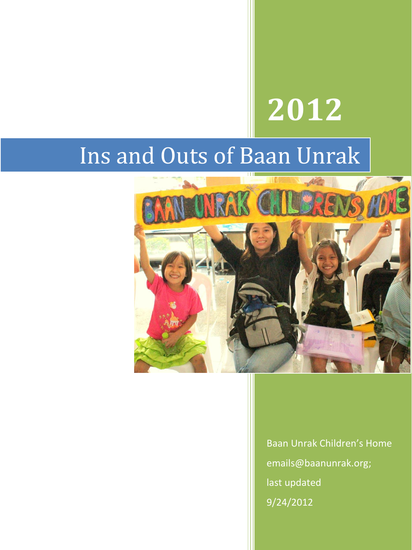# **2012**

## Ins and Outs of Baan Unrak



Baan Unrak Children's Home emails@baanunrak.org; last updated 9/24/2012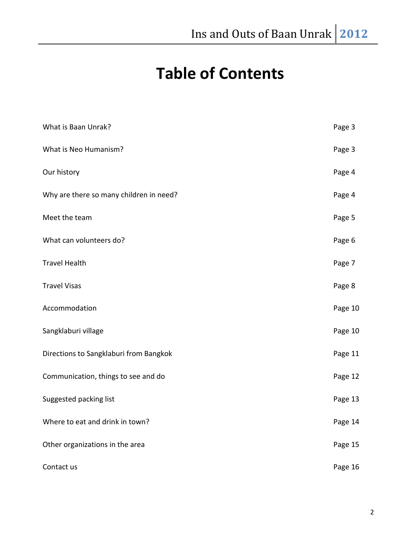### **Table of Contents**

| What is Baan Unrak?                     | Page 3  |
|-----------------------------------------|---------|
| What is Neo Humanism?                   | Page 3  |
| Our history                             | Page 4  |
| Why are there so many children in need? | Page 4  |
| Meet the team                           | Page 5  |
| What can volunteers do?                 | Page 6  |
| <b>Travel Health</b>                    | Page 7  |
| <b>Travel Visas</b>                     | Page 8  |
| Accommodation                           | Page 10 |
| Sangklaburi village                     | Page 10 |
| Directions to Sangklaburi from Bangkok  | Page 11 |
| Communication, things to see and do     | Page 12 |
| Suggested packing list                  | Page 13 |
| Where to eat and drink in town?         | Page 14 |
| Other organizations in the area         | Page 15 |
| Contact us                              | Page 16 |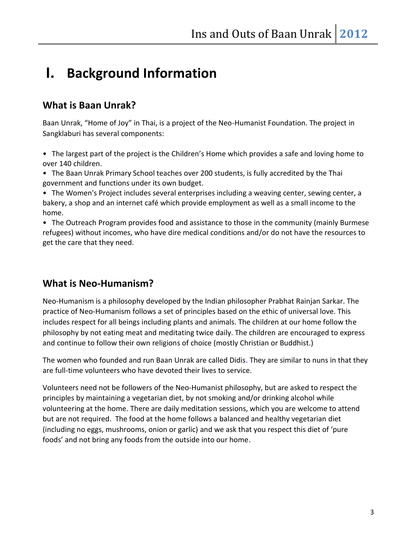### **I. Background Information**

### **What is Baan Unrak?**

Baan Unrak, "Home of Joy" in Thai, is a project of the Neo-Humanist Foundation. The project in Sangklaburi has several components:

• The largest part of the project is the Children's Home which provides a safe and loving home to over 140 children.

• The Baan Unrak Primary School teaches over 200 students, is fully accredited by the Thai government and functions under its own budget.

• The Women's Project includes several enterprises including a weaving center, sewing center, a bakery, a shop and an internet café which provide employment as well as a small income to the home.

• The Outreach Program provides food and assistance to those in the community (mainly Burmese refugees) without incomes, who have dire medical conditions and/or do not have the resources to get the care that they need.

### **What is Neo-Humanism?**

Neo-Humanism is a philosophy developed by the Indian philosopher Prabhat Rainjan Sarkar. The practice of Neo-Humanism follows a set of principles based on the ethic of universal love. This includes respect for all beings including plants and animals. The children at our home follow the philosophy by not eating meat and meditating twice daily. The children are encouraged to express and continue to follow their own religions of choice (mostly Christian or Buddhist.)

The women who founded and run Baan Unrak are called Didis. They are similar to nuns in that they are full-time volunteers who have devoted their lives to service.

Volunteers need not be followers of the Neo-Humanist philosophy, but are asked to respect the principles by maintaining a vegetarian diet, by not smoking and/or drinking alcohol while volunteering at the home. There are daily meditation sessions, which you are welcome to attend but are not required. The food at the home follows a balanced and healthy vegetarian diet (including no eggs, mushrooms, onion or garlic) and we ask that you respect this diet of 'pure foods' and not bring any foods from the outside into our home.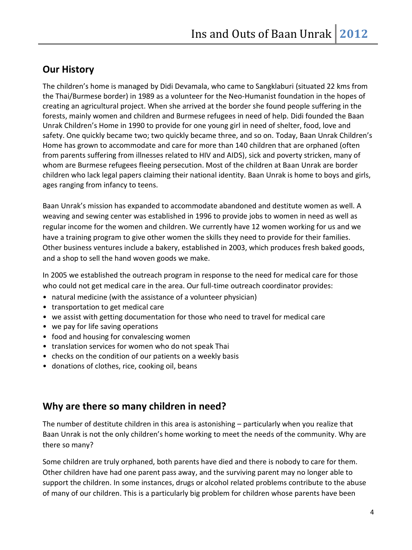### **Our History**

The children's home is managed by Didi Devamala, who came to Sangklaburi (situated 22 kms from the Thai/Burmese border) in 1989 as a volunteer for the Neo-Humanist foundation in the hopes of creating an agricultural project. When she arrived at the border she found people suffering in the forests, mainly women and children and Burmese refugees in need of help. Didi founded the Baan Unrak Children's Home in 1990 to provide for one young girl in need of shelter, food, love and safety. One quickly became two; two quickly became three, and so on. Today, Baan Unrak Children's Home has grown to accommodate and care for more than 140 children that are orphaned (often from parents suffering from illnesses related to HIV and AIDS), sick and poverty stricken, many of whom are Burmese refugees fleeing persecution. Most of the children at Baan Unrak are border children who lack legal papers claiming their national identity. Baan Unrak is home to boys and girls, ages ranging from infancy to teens.

Baan Unrak's mission has expanded to accommodate abandoned and destitute women as well. A weaving and sewing center was established in 1996 to provide jobs to women in need as well as regular income for the women and children. We currently have 12 women working for us and we have a training program to give other women the skills they need to provide for their families. Other business ventures include a bakery, established in 2003, which produces fresh baked goods, and a shop to sell the hand woven goods we make.

In 2005 we established the outreach program in response to the need for medical care for those who could not get medical care in the area. Our full-time outreach coordinator provides:

- natural medicine (with the assistance of a volunteer physician)
- transportation to get medical care
- we assist with getting documentation for those who need to travel for medical care
- we pay for life saving operations
- food and housing for convalescing women
- translation services for women who do not speak Thai
- checks on the condition of our patients on a weekly basis
- donations of clothes, rice, cooking oil, beans

### **Why are there so many children in need?**

The number of destitute children in this area is astonishing – particularly when you realize that Baan Unrak is not the only children's home working to meet the needs of the community. Why are there so many?

Some children are truly orphaned, both parents have died and there is nobody to care for them. Other children have had one parent pass away, and the surviving parent may no longer able to support the children. In some instances, drugs or alcohol related problems contribute to the abuse of many of our children. This is a particularly big problem for children whose parents have been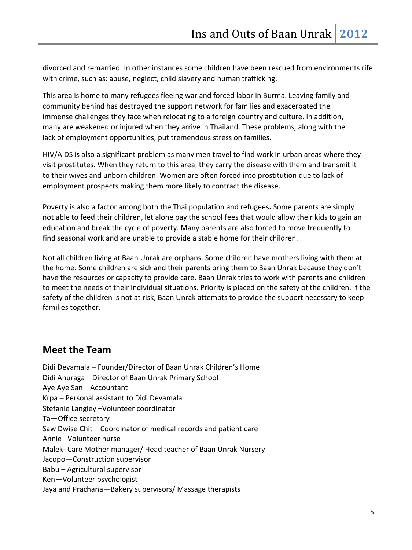divorced and remarried. In other instances some children have been rescued from environments rife with crime, such as: abuse, neglect, child slavery and human trafficking.

This area is home to many refugees fleeing war and forced labor in Burma. Leaving family and community behind has destroyed the support network for families and exacerbated the immense challenges they face when relocating to a foreign country and culture. In addition, many are weakened or injured when they arrive in Thailand. These problems, along with the lack of employment opportunities, put tremendous stress on families.

HIV/AIDS is also a significant problem as many men travel to find work in urban areas where they visit prostitutes. When they return to this area, they carry the disease with them and transmit it to their wives and unborn children. Women are often forced into prostitution due to lack of employment prospects making them more likely to contract the disease.

Poverty is also a factor among both the Thai population and refugees**.** Some parents are simply not able to feed their children, let alone pay the school fees that would allow their kids to gain an education and break the cycle of poverty. Many parents are also forced to move frequently to find seasonal work and are unable to provide a stable home for their children.

Not all children living at Baan Unrak are orphans. Some children have mothers living with them at the home**.** Some children are sick and their parents bring them to Baan Unrak because they don't have the resources or capacity to provide care. Baan Unrak tries to work with parents and children to meet the needs of their individual situations. Priority is placed on the safety of the children. If the safety of the children is not at risk, Baan Unrak attempts to provide the support necessary to keep families together.

### **Meet the Team**

Didi Devamala – Founder/Director of Baan Unrak Children's Home Didi Anuraga—Director of Baan Unrak Primary School Aye Aye San—Accountant Krpa – Personal assistant to Didi Devamala Stefanie Langley –Volunteer coordinator Ta—Office secretary Saw Dwise Chit – Coordinator of medical records and patient care Annie –Volunteer nurse Malek- Care Mother manager/ Head teacher of Baan Unrak Nursery Jacopo—Construction supervisor Babu – Agricultural supervisor Ken—Volunteer psychologist Jaya and Prachana—Bakery supervisors/ Massage therapists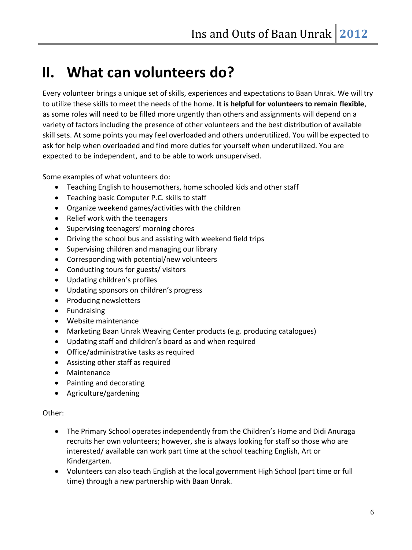### **II. What can volunteers do?**

Every volunteer brings a unique set of skills, experiences and expectations to Baan Unrak. We will try to utilize these skills to meet the needs of the home. **It is helpful for volunteers to remain flexible**, as some roles will need to be filled more urgently than others and assignments will depend on a variety of factors including the presence of other volunteers and the best distribution of available skill sets. At some points you may feel overloaded and others underutilized. You will be expected to ask for help when overloaded and find more duties for yourself when underutilized. You are expected to be independent, and to be able to work unsupervised.

Some examples of what volunteers do:

- Teaching English to housemothers, home schooled kids and other staff
- Teaching basic Computer P.C. skills to staff
- Organize weekend games/activities with the children
- Relief work with the teenagers
- Supervising teenagers' morning chores
- Driving the school bus and assisting with weekend field trips
- Supervising children and managing our library
- Corresponding with potential/new volunteers
- Conducting tours for guests/ visitors
- Updating children's profiles
- Updating sponsors on children's progress
- Producing newsletters
- **•** Fundraising
- Website maintenance
- Marketing Baan Unrak Weaving Center products (e.g. producing catalogues)
- Updating staff and children's board as and when required
- Office/administrative tasks as required
- Assisting other staff as required
- Maintenance
- Painting and decorating
- Agriculture/gardening

#### Other:

- The Primary School operates independently from the Children's Home and Didi Anuraga recruits her own volunteers; however, she is always looking for staff so those who are interested/ available can work part time at the school teaching English, Art or Kindergarten.
- Volunteers can also teach English at the local government High School (part time or full time) through a new partnership with Baan Unrak.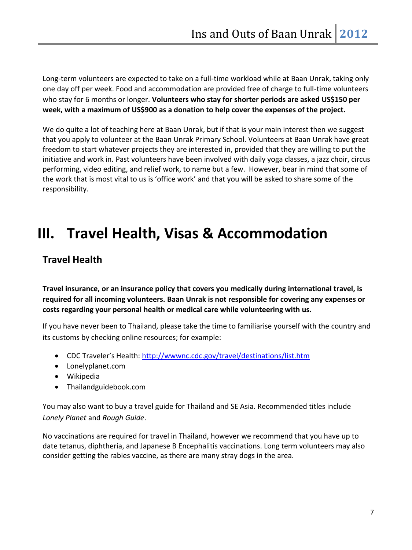Long-term volunteers are expected to take on a full-time workload while at Baan Unrak, taking only one day off per week. Food and accommodation are provided free of charge to full-time volunteers who stay for 6 months or longer. **Volunteers who stay for shorter periods are asked US\$150 per week, with a maximum of US\$900 as a donation to help cover the expenses of the project.**

We do quite a lot of teaching here at Baan Unrak, but if that is your main interest then we suggest that you apply to volunteer at the Baan Unrak Primary School. Volunteers at Baan Unrak have great freedom to start whatever projects they are interested in, provided that they are willing to put the initiative and work in. Past volunteers have been involved with daily yoga classes, a jazz choir, circus performing, video editing, and relief work, to name but a few. However, bear in mind that some of the work that is most vital to us is 'office work' and that you will be asked to share some of the responsibility.

### **III. Travel Health, Visas & Accommodation**

### **Travel Health**

**Travel insurance, or an insurance policy that covers you medically during international travel, is required for all incoming volunteers. Baan Unrak is not responsible for covering any expenses or costs regarding your personal health or medical care while volunteering with us.** 

If you have never been to Thailand, please take the time to familiarise yourself with the country and its customs by checking online resources; for example:

- CDC Traveler's Health: <http://wwwnc.cdc.gov/travel/destinations/list.htm>
- Lonelyplanet.com
- Wikipedia
- Thailandguidebook.com

You may also want to buy a travel guide for Thailand and SE Asia. Recommended titles include *Lonely Planet* and *Rough Guide*.

No vaccinations are required for travel in Thailand, however we recommend that you have up to date tetanus, diphtheria, and Japanese B Encephalitis vaccinations. Long term volunteers may also consider getting the rabies vaccine, as there are many stray dogs in the area.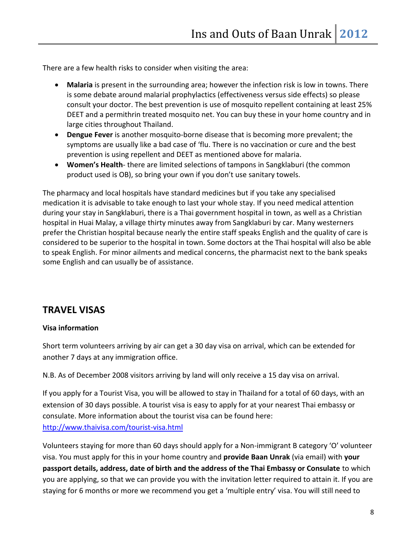There are a few health risks to consider when visiting the area:

- **Malaria** is present in the surrounding area; however the infection risk is low in towns. There is some debate around malarial prophylactics (effectiveness versus side effects) so please consult your doctor. The best prevention is use of mosquito repellent containing at least 25% DEET and a permithrin treated mosquito net. You can buy these in your home country and in large cities throughout Thailand.
- **Dengue Fever** is another mosquito-borne disease that is becoming more prevalent; the symptoms are usually like a bad case of 'flu. There is no vaccination or cure and the best prevention is using repellent and DEET as mentioned above for malaria.
- **Women's Health** there are limited selections of tampons in Sangklaburi (the common product used is OB), so bring your own if you don't use sanitary towels.

The pharmacy and local hospitals have standard medicines but if you take any specialised medication it is advisable to take enough to last your whole stay. If you need medical attention during your stay in Sangklaburi, there is a Thai government hospital in town, as well as a Christian hospital in Huai Malay, a village thirty minutes away from Sangklaburi by car. Many westerners prefer the Christian hospital because nearly the entire staff speaks English and the quality of care is considered to be superior to the hospital in town. Some doctors at the Thai hospital will also be able to speak English. For minor ailments and medical concerns, the pharmacist next to the bank speaks some English and can usually be of assistance.

### **TRAVEL VISAS**

#### **Visa information**

Short term volunteers arriving by air can get a 30 day visa on arrival, which can be extended for another 7 days at any immigration office.

N.B. As of December 2008 visitors arriving by land will only receive a 15 day visa on arrival.

If you apply for a Tourist Visa, you will be allowed to stay in Thailand for a total of 60 days, with an extension of 30 days possible. A tourist visa is easy to apply for at your nearest Thai embassy or consulate. More information about the tourist visa can be found here: <http://www.thaivisa.com/tourist-visa.html>

Volunteers staying for more than 60 days should apply for a Non-immigrant B category 'O' volunteer visa. You must apply for this in your home country and **provide Baan Unrak** (via email) with **your passport details, address, date of birth and the address of the Thai Embassy or Consulate** to which you are applying, so that we can provide you with the invitation letter required to attain it. If you are staying for 6 months or more we recommend you get a 'multiple entry' visa. You will still need to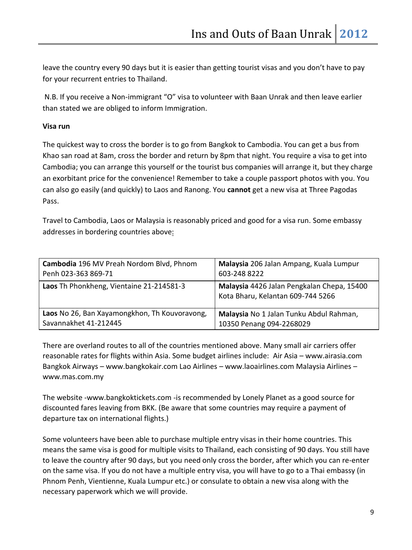leave the country every 90 days but it is easier than getting tourist visas and you don't have to pay for your recurrent entries to Thailand.

N.B. If you receive a Non-immigrant "O" visa to volunteer with Baan Unrak and then leave earlier than stated we are obliged to inform Immigration.

#### **Visa run**

The quickest way to cross the border is to go from Bangkok to Cambodia. You can get a bus from Khao san road at 8am, cross the border and return by 8pm that night. You require a visa to get into Cambodia; you can arrange this yourself or the tourist bus companies will arrange it, but they charge an exorbitant price for the convenience! Remember to take a couple passport photos with you. You can also go easily (and quickly) to Laos and Ranong. You **cannot** get a new visa at Three Pagodas Pass.

Travel to Cambodia, Laos or Malaysia is reasonably priced and good for a visa run. Some embassy addresses in bordering countries above:

| Cambodia 196 MV Preah Nordom Blvd, Phnom      | Malaysia 206 Jalan Ampang, Kuala Lumpur                                         |
|-----------------------------------------------|---------------------------------------------------------------------------------|
| Penh 023-363 869-71                           | 603-248 8222                                                                    |
| Laos Th Phonkheng, Vientaine 21-214581-3      | Malaysia 4426 Jalan Pengkalan Chepa, 15400<br>Kota Bharu, Kelantan 609-744 5266 |
| Laos No 26, Ban Xayamongkhon, Th Kouvoravong, | Malaysia No 1 Jalan Tunku Abdul Rahman,                                         |
| Savannakhet 41-212445                         | 10350 Penang 094-2268029                                                        |

There are overland routes to all of the countries mentioned above. Many small air carriers offer reasonable rates for flights within Asia. Some budget airlines include: Air Asia – www.airasia.com Bangkok Airways – www.bangkokair.com Lao Airlines – www.laoairlines.com Malaysia Airlines – www.mas.com.my

The website -www.bangkoktickets.com -is recommended by Lonely Planet as a good source for discounted fares leaving from BKK. (Be aware that some countries may require a payment of departure tax on international flights.)

Some volunteers have been able to purchase multiple entry visas in their home countries. This means the same visa is good for multiple visits to Thailand, each consisting of 90 days. You still have to leave the country after 90 days, but you need only cross the border, after which you can re-enter on the same visa. If you do not have a multiple entry visa, you will have to go to a Thai embassy (in Phnom Penh, Vientienne, Kuala Lumpur etc.) or consulate to obtain a new visa along with the necessary paperwork which we will provide.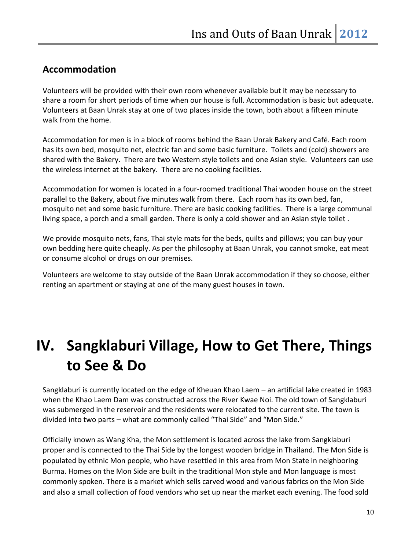### **Accommodation**

Volunteers will be provided with their own room whenever available but it may be necessary to share a room for short periods of time when our house is full. Accommodation is basic but adequate. Volunteers at Baan Unrak stay at one of two places inside the town, both about a fifteen minute walk from the home.

Accommodation for men is in a block of rooms behind the Baan Unrak Bakery and Café. Each room has its own bed, mosquito net, electric fan and some basic furniture. Toilets and (cold) showers are shared with the Bakery. There are two Western style toilets and one Asian style. Volunteers can use the wireless internet at the bakery. There are no cooking facilities.

Accommodation for women is located in a four-roomed traditional Thai wooden house on the street parallel to the Bakery, about five minutes walk from there. Each room has its own bed, fan, mosquito net and some basic furniture. There are basic cooking facilities. There is a large communal living space, a porch and a small garden. There is only a cold shower and an Asian style toilet .

We provide mosquito nets, fans, Thai style mats for the beds, quilts and pillows; you can buy your own bedding here quite cheaply. As per the philosophy at Baan Unrak, you cannot smoke, eat meat or consume alcohol or drugs on our premises.

Volunteers are welcome to stay outside of the Baan Unrak accommodation if they so choose, either renting an apartment or staying at one of the many guest houses in town.

### **IV. Sangklaburi Village, How to Get There, Things to See & Do**

Sangklaburi is currently located on the edge of Kheuan Khao Laem – an artificial lake created in 1983 when the Khao Laem Dam was constructed across the River Kwae Noi. The old town of Sangklaburi was submerged in the reservoir and the residents were relocated to the current site. The town is divided into two parts – what are commonly called "Thai Side" and "Mon Side."

Officially known as Wang Kha, the Mon settlement is located across the lake from Sangklaburi proper and is connected to the Thai Side by the longest wooden bridge in Thailand. The Mon Side is populated by ethnic Mon people, who have resettled in this area from Mon State in neighboring Burma. Homes on the Mon Side are built in the traditional Mon style and Mon language is most commonly spoken. There is a market which sells carved wood and various fabrics on the Mon Side and also a small collection of food vendors who set up near the market each evening. The food sold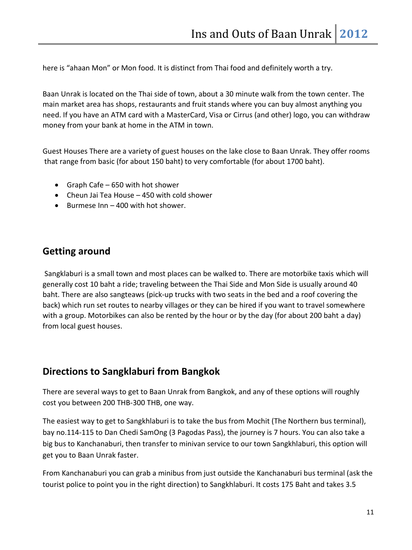here is "ahaan Mon" or Mon food. It is distinct from Thai food and definitely worth a try.

Baan Unrak is located on the Thai side of town, about a 30 minute walk from the town center. The main market area has shops, restaurants and fruit stands where you can buy almost anything you need. If you have an ATM card with a MasterCard, Visa or Cirrus (and other) logo, you can withdraw money from your bank at home in the ATM in town.

Guest Houses There are a variety of guest houses on the lake close to Baan Unrak. They offer rooms that range from basic (for about 150 baht) to very comfortable (for about 1700 baht).

- Graph Cafe 650 with hot shower
- Cheun Jai Tea House 450 with cold shower
- $\bullet$  Burmese Inn 400 with hot shower.

### **Getting around**

Sangklaburi is a small town and most places can be walked to. There are motorbike taxis which will generally cost 10 baht a ride; traveling between the Thai Side and Mon Side is usually around 40 baht. There are also sangteaws (pick-up trucks with two seats in the bed and a roof covering the back) which run set routes to nearby villages or they can be hired if you want to travel somewhere with a group. Motorbikes can also be rented by the hour or by the day (for about 200 baht a day) from local guest houses.

### **Directions to Sangklaburi from Bangkok**

There are several ways to get to Baan Unrak from Bangkok, and any of these options will roughly cost you between 200 THB-300 THB, one way.

The easiest way to get to Sangkhlaburi is to take the bus from Mochit (The Northern bus terminal), bay no.114-115 to Dan Chedi SamOng (3 Pagodas Pass), the journey is 7 hours. You can also take a big bus to Kanchanaburi, then transfer to minivan service to our town Sangkhlaburi, this option will get you to Baan Unrak faster.

From Kanchanaburi you can grab a minibus from just outside the Kanchanaburi bus terminal (ask the tourist police to point you in the right direction) to Sangkhlaburi. It costs 175 Baht and takes 3.5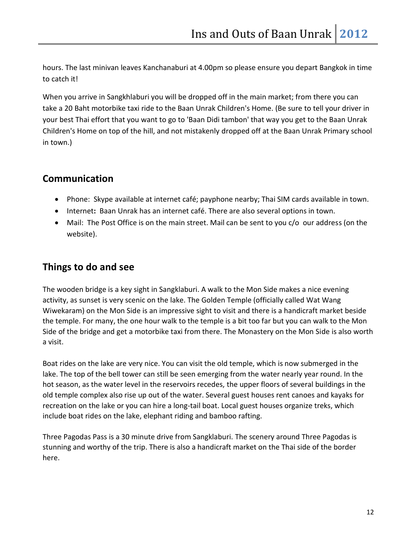hours. The last minivan leaves Kanchanaburi at 4.00pm so please ensure you depart Bangkok in time to catch it!

When you arrive in Sangkhlaburi you will be dropped off in the main market; from there you can take a 20 Baht motorbike taxi ride to the Baan Unrak Children's Home. (Be sure to tell your driver in your best Thai effort that you want to go to 'Baan Didi tambon' that way you get to the Baan Unrak Children's Home on top of the hill, and not mistakenly dropped off at the Baan Unrak Primary school in town.)

### **Communication**

- Phone:Skype available at internet café; payphone nearby; Thai SIM cards available in town.
- Internet**:** Baan Unrak has an internet café. There are also several options in town.
- Mail:The Post Office is on the main street. Mail can be sent to you c/o our address (on the website).

### **Things to do and see**

The wooden bridge is a key sight in Sangklaburi. A walk to the Mon Side makes a nice evening activity, as sunset is very scenic on the lake. The Golden Temple (officially called Wat Wang Wiwekaram) on the Mon Side is an impressive sight to visit and there is a handicraft market beside the temple. For many, the one hour walk to the temple is a bit too far but you can walk to the Mon Side of the bridge and get a motorbike taxi from there. The Monastery on the Mon Side is also worth a visit.

Boat rides on the lake are very nice. You can visit the old temple, which is now submerged in the lake. The top of the bell tower can still be seen emerging from the water nearly year round. In the hot season, as the water level in the reservoirs recedes, the upper floors of several buildings in the old temple complex also rise up out of the water. Several guest houses rent canoes and kayaks for recreation on the lake or you can hire a long-tail boat. Local guest houses organize treks, which include boat rides on the lake, elephant riding and bamboo rafting.

Three Pagodas Pass is a 30 minute drive from Sangklaburi. The scenery around Three Pagodas is stunning and worthy of the trip. There is also a handicraft market on the Thai side of the border here.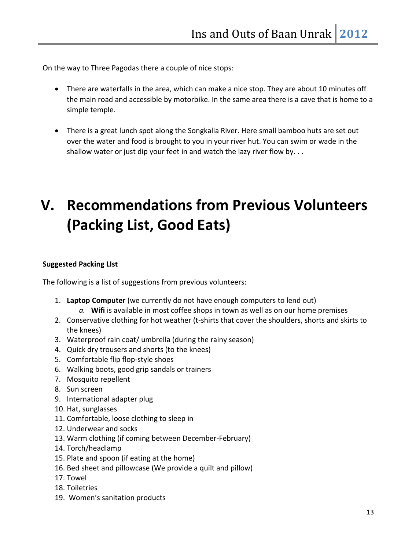On the way to Three Pagodas there a couple of nice stops:

- There are waterfalls in the area, which can make a nice stop. They are about 10 minutes off the main road and accessible by motorbike. In the same area there is a cave that is home to a simple temple.
- There is a great lunch spot along the Songkalia River. Here small bamboo huts are set out over the water and food is brought to you in your river hut. You can swim or wade in the shallow water or just dip your feet in and watch the lazy river flow by. . .

### **V. Recommendations from Previous Volunteers (Packing List, Good Eats)**

### **Suggested Packing LIst**

The following is a list of suggestions from previous volunteers:

- 1. **Laptop Computer** (we currently do not have enough computers to lend out)
	- *a.* **Wifi** is available in most coffee shops in town as well as on our home premises
- 2. Conservative clothing for hot weather (t-shirts that cover the shoulders, shorts and skirts to the knees)
- 3. Waterproof rain coat/ umbrella (during the rainy season)
- 4. Quick dry trousers and shorts (to the knees)
- 5. Comfortable flip flop-style shoes
- 6. Walking boots, good grip sandals or trainers
- 7. Mosquito repellent
- 8. Sun screen
- 9. International adapter plug
- 10. Hat, sunglasses
- 11. Comfortable, loose clothing to sleep in
- 12. Underwear and socks
- 13. Warm clothing (if coming between December-February)
- 14. Torch/headlamp
- 15. Plate and spoon (if eating at the home)
- 16. Bed sheet and pillowcase (We provide a quilt and pillow)
- 17. Towel
- 18. Toiletries
- 19. Women's sanitation products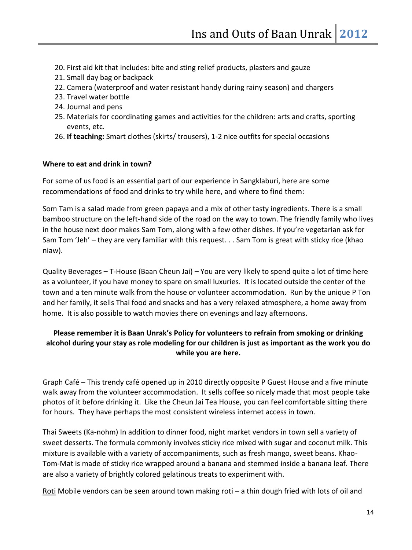- 20. First aid kit that includes: bite and sting relief products, plasters and gauze
- 21. Small day bag or backpack
- 22. Camera (waterproof and water resistant handy during rainy season) and chargers
- 23. Travel water bottle
- 24. Journal and pens
- 25. Materials for coordinating games and activities for the children: arts and crafts, sporting events, etc.
- 26. **If teaching:** Smart clothes (skirts/ trousers), 1-2 nice outfits for special occasions

#### **Where to eat and drink in town?**

For some of us food is an essential part of our experience in Sangklaburi, here are some recommendations of food and drinks to try while here, and where to find them:

Som Tam is a salad made from green papaya and a mix of other tasty ingredients. There is a small bamboo structure on the left-hand side of the road on the way to town. The friendly family who lives in the house next door makes Sam Tom, along with a few other dishes. If you're vegetarian ask for Sam Tom 'Jeh' – they are very familiar with this request. . . Sam Tom is great with sticky rice (khao niaw).

Quality Beverages – T-House (Baan Cheun Jai) – You are very likely to spend quite a lot of time here as a volunteer, if you have money to spare on small luxuries. It is located outside the center of the town and a ten minute walk from the house or volunteer accommodation. Run by the unique P Ton and her family, it sells Thai food and snacks and has a very relaxed atmosphere, a home away from home. It is also possible to watch movies there on evenings and lazy afternoons.

### **Please remember it is Baan Unrak's Policy for volunteers to refrain from smoking or drinking alcohol during your stay as role modeling for our children is just as important as the work you do while you are here.**

Graph Café – This trendy café opened up in 2010 directly opposite P Guest House and a five minute walk away from the volunteer accommodation. It sells coffee so nicely made that most people take photos of it before drinking it. Like the Cheun Jai Tea House, you can feel comfortable sitting there for hours. They have perhaps the most consistent wireless internet access in town.

Thai Sweets (Ka-nohm) In addition to dinner food, night market vendors in town sell a variety of sweet desserts. The formula commonly involves sticky rice mixed with sugar and coconut milk. This mixture is available with a variety of accompaniments, such as fresh mango, sweet beans. Khao-Tom-Mat is made of sticky rice wrapped around a banana and stemmed inside a banana leaf. There are also a variety of brightly colored gelatinous treats to experiment with.

Roti Mobile vendors can be seen around town making roti  $-$  a thin dough fried with lots of oil and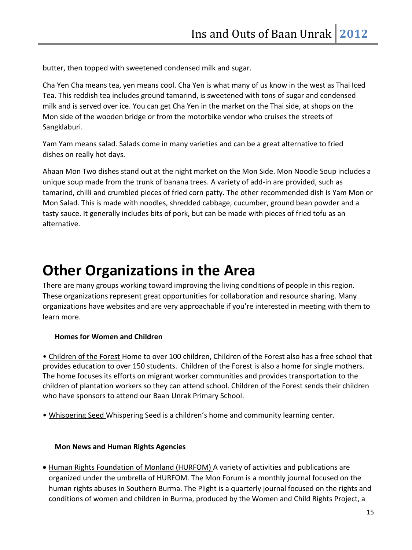butter, then topped with sweetened condensed milk and sugar.

Cha Yen Cha means tea, yen means cool. Cha Yen is what many of us know in the west as Thai Iced Tea. This reddish tea includes ground tamarind, is sweetened with tons of sugar and condensed milk and is served over ice. You can get Cha Yen in the market on the Thai side, at shops on the Mon side of the wooden bridge or from the motorbike vendor who cruises the streets of Sangklaburi.

Yam Yam means salad. Salads come in many varieties and can be a great alternative to fried dishes on really hot days.

Ahaan Mon Two dishes stand out at the night market on the Mon Side. Mon Noodle Soup includes a unique soup made from the trunk of banana trees. A variety of add-in are provided, such as tamarind, chilli and crumbled pieces of fried corn patty. The other recommended dish is Yam Mon or Mon Salad. This is made with noodles, shredded cabbage, cucumber, ground bean powder and a tasty sauce. It generally includes bits of pork, but can be made with pieces of fried tofu as an alternative.

### **Other Organizations in the Area**

There are many groups working toward improving the living conditions of people in this region. These organizations represent great opportunities for collaboration and resource sharing. Many organizations have websites and are very approachable if you're interested in meeting with them to learn more.

#### **Homes for Women and Children**

• Children of the Forest Home to over 100 children, Children of the Forest also has a free school that provides education to over 150 students. Children of the Forest is also a home for single mothers. The home focuses its efforts on migrant worker communities and provides transportation to the children of plantation workers so they can attend school. Children of the Forest sends their children who have sponsors to attend our Baan Unrak Primary School.

• Whispering Seed Whispering Seed is a children's home and community learning center.

#### **Mon News and Human Rights Agencies**

• Human Rights Foundation of Monland (HURFOM) A variety of activities and publications are organized under the umbrella of HURFOM. The Mon Forum is a monthly journal focused on the human rights abuses in Southern Burma. The Plight is a quarterly journal focused on the rights and conditions of women and children in Burma, produced by the Women and Child Rights Project, a